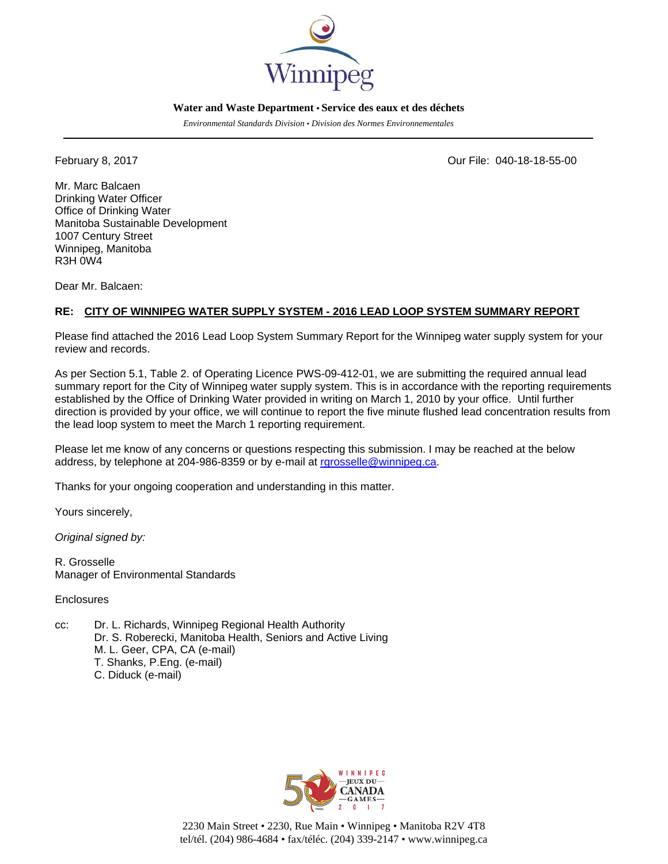

## **Water and Waste Department • Service des eaux et des déchets**

*Environmental Standards Division • Division des Normes Environnementales* 

February 8, 2017 Our File: 040-18-18-55-00

Mr. Marc Balcaen Drinking Water Officer Office of Drinking Water Manitoba Sustainable Development 1007 Century Street Winnipeg, Manitoba R3H 0W4

Dear Mr. Balcaen:

## **RE: CITY OF WINNIPEG WATER SUPPLY SYSTEM - 2016 LEAD LOOP SYSTEM SUMMARY REPORT**

Please find attached the 2016 Lead Loop System Summary Report for the Winnipeg water supply system for your review and records.

As per Section 5.1, Table 2. of Operating Licence PWS-09-412-01, we are submitting the required annual lead summary report for the City of Winnipeg water supply system. This is in accordance with the reporting requirements established by the Office of Drinking Water provided in writing on March 1, 2010 by your office. Until further direction is provided by your office, we will continue to report the five minute flushed lead concentration results from the lead loop system to meet the March 1 reporting requirement.

Please let me know of any concerns or questions respecting this submission. I may be reached at the below address, by telephone at 204-986-8359 or by e-mail at rgrosselle@winnipeg.ca.

Thanks for your ongoing cooperation and understanding in this matter.

Yours sincerely,

*Original signed by:* 

R. Grosselle Manager of Environmental Standards

**Enclosures** 

cc: Dr. L. Richards, Winnipeg Regional Health Authority Dr. S. Roberecki, Manitoba Health, Seniors and Active Living M. L. Geer, CPA, CA (e-mail) T. Shanks, P.Eng. (e-mail) C. Diduck (e-mail)